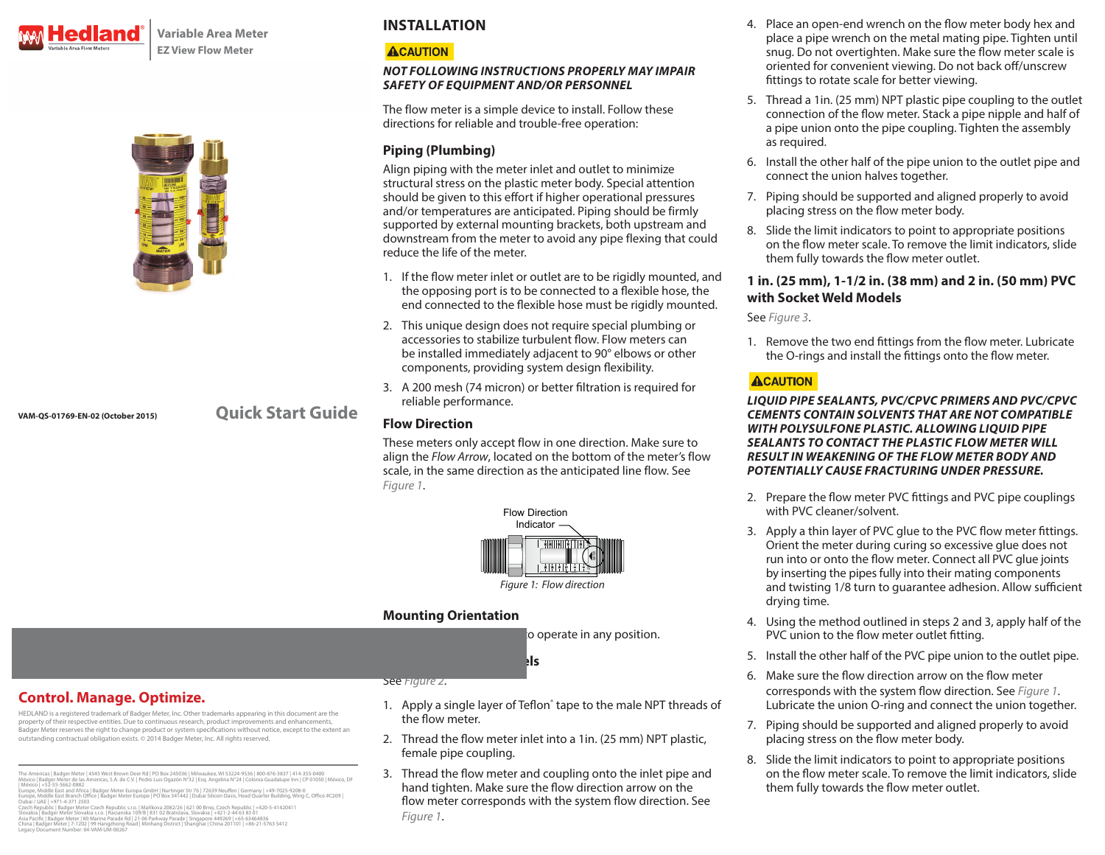

**Variable Area Meter EZ View Flow Meter**



**VAM-QS-01769-EN-02 (October 2015)**

**Quick Start Guide**

# **INSTALLATION**

## **ACAUTION**

#### *NOT FOLLOWING INSTRUCTIONS PROPERLY MAY IMPAIR SAFETY OF EQUIPMENT AND/OR PERSONNEL*

The flow meter is a simple device to install. Follow these directions for reliable and trouble-free operation:

## **Piping (Plumbing)**

Align piping with the meter inlet and outlet to minimize structural stress on the plastic meter body. Special attention should be given to this effort if higher operational pressures and/or temperatures are anticipated. Piping should be firmly supported by external mounting brackets, both upstream and downstream from the meter to avoid any pipe flexing that could reduce the life of the meter.

- 1. If the flow meter inlet or outlet are to be rigidly mounted, and the opposing port is to be connected to a flexible hose, the end connected to the flexible hose must be rigidly mounted.
- 2. This unique design does not require special plumbing or accessories to stabilize turbulent flow. Flow meters can be installed immediately adjacent to 90° elbows or other components, providing system design flexibility.
- 3. A 200 mesh (74 micron) or better filtration is required for reliable performance.

## **Flow Direction**

These meters only accept flow in one direction. Make sure to align the *Flow Arrow*, located on the bottom of the meter's flow scale, in the same direction as the anticipated line flow. See *[Figure 1](#page-0-0)*.



## **Mounting Orientation**

to operate in any position.

**1 in. (25 mm) NPT Models**

**Control. Manage. Optimize.**

HEDLAND is a registered trademark of Badger Meter, Inc. Other trademarks appearing in this document are the property of their respective entities. Due to continuous research, product improvements and enhancements, Badger Meter reserves the right to change product or system specifications without notice, except to the extent an outstanding contractual obligation exists. © 2014 Badger Meter, Inc. All rights reserved.

The Americas | Badger Meter | 4545 West Brown Deer Rd | PO Box 245036 | Milwaukee, WI 53224-9536 | 800-876-3837 | 414-355-0400<br>México | Badger Meter de las Americas, S.A. de C.V. | Pedro Luis Ogazón N°32 | Esq. Angelina N°

| México|+52-55-5662-0882<br>Europe, Middle East and Africa | Badger Meter Europa GmbH|Nurtinger Str 76|72639 Neuffen|Germany|+49-7025-9208-0<br>Europe, Middle East Branch Office | Badger Meter Europe | PO Box 341442 | Dubai Sil

Dubai / UAE | +971-4-371 2503<br>Czech Republic | Badger Meter Czech Republic s.r.o. | Maříkova 2082/26 | 621 00 Brno, Czech Republic | +420-5-41420411<br>Slovakia | Badger Meter Slovakia s.r.o. | Racianska 109/B | 831 02 Bratis Asia Pacific | Badger Meter | 80 Marine Parade Rd | 21-06 Parkway Parade | Singaporé 449269 | +65-63464836<br>China | Badger Meter | 7-1202 | 99 Hangzhong Road | Minhang District | Shanghai | China 201101 | +86-21-5763 5412<br>L

#### See *[Figure 2](#page-1-0)*.

- 1. Apply a single layer of Teflon<sup>®</sup> tape to the male NPT threads of the flow meter.
- 2. Thread the flow meter inlet into a 1in. (25 mm) NPT plastic, female pipe coupling.
- 3. Thread the flow meter and coupling onto the inlet pipe and hand tighten. Make sure the flow direction arrow on the flow meter corresponds with the system flow direction. See *[Figure 1](#page-0-0)*.
- 4. Place an open-end wrench on the flow meter body hex and place a pipe wrench on the metal mating pipe. Tighten until snug. Do not overtighten. Make sure the flow meter scale is oriented for convenient viewing. Do not back off/unscrew fittings to rotate scale for better viewing.
- 5. Thread a 1in. (25 mm) NPT plastic pipe coupling to the outlet connection of the flow meter. Stack a pipe nipple and half of a pipe union onto the pipe coupling. Tighten the assembly as required.
- 6. Install the other half of the pipe union to the outlet pipe and connect the union halves together.
- 7. Piping should be supported and aligned properly to avoid placing stress on the flow meter body.
- 8. Slide the limit indicators to point to appropriate positions on the flow meter scale. To remove the limit indicators, slide them fully towards the flow meter outlet.

### **1 in. (25 mm), 1-1/2 in. (38 mm) and 2 in. (50 mm) PVC with Socket Weld Models**

See *[Figure 3](#page-1-1)*.

1. Remove the two end fittings from the flow meter. Lubricate the O-rings and install the fittings onto the flow meter.

## **ACAUTION**

#### *LIQUID PIPE SEALANTS, PVC/CPVC PRIMERS AND PVC/CPVC CEMENTS CONTAIN SOLVENTS THAT ARE NOT COMPATIBLE WITH POLYSULFONE PLASTIC. ALLOWING LIQUID PIPE SEALANTS TO CONTACT THE PLASTIC FLOW METER WILL RESULT IN WEAKENING OF THE FLOW METER BODY AND POTENTIALLY CAUSE FRACTURING UNDER PRESSURE.*

- 2. Prepare the flow meter PVC fittings and PVC pipe couplings with PVC cleaner/solvent.
- 3. Apply a thin layer of PVC glue to the PVC flow meter fittings. Orient the meter during curing so excessive glue does not run into or onto the flow meter. Connect all PVC glue joints by inserting the pipes fully into their mating components and twisting 1/8 turn to guarantee adhesion. Allow sufficient drying time.
- <span id="page-0-0"></span>4. Using the method outlined in steps 2 and 3, apply half of the PVC union to the flow meter outlet fitting.
- 5. Install the other half of the PVC pipe union to the outlet pipe.
- 6. Make sure the flow direction arrow on the flow meter corresponds with the system flow direction. See *[Figure 1](#page-0-0)*. Lubricate the union O-ring and connect the union together.
- 7. Piping should be supported and aligned properly to avoid placing stress on the flow meter body.
- 8. Slide the limit indicators to point to appropriate positions on the flow meter scale. To remove the limit indicators, slide them fully towards the flow meter outlet.